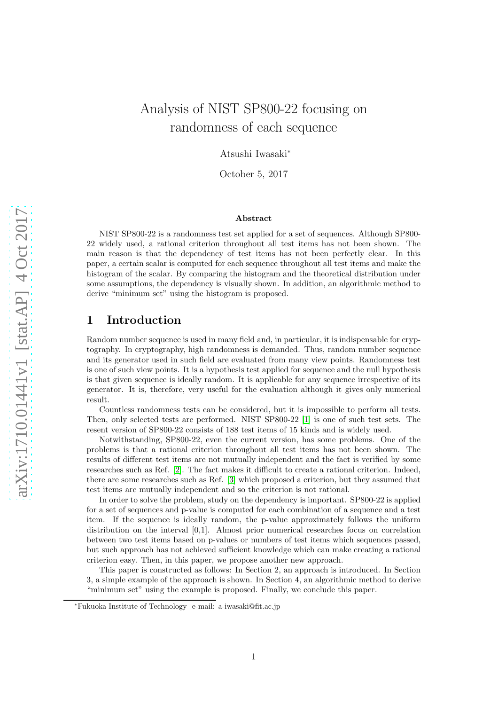# Analysis of NIST SP800-22 focusing on randomness of each sequence

Atsushi Iwasaki<sup>∗</sup>

October 5, 2017

#### Abstract

NIST SP800-22 is a randomness test set applied for a set of sequences. Although SP800- 22 widely used, a rational criterion throughout all test items has not been shown. The main reason is that the dependency of test items has not been perfectly clear. In this paper, a certain scalar is computed for each sequence throughout all test items and make the histogram of the scalar. By comparing the histogram and the theoretical distribution under some assumptions, the dependency is visually shown. In addition, an algorithmic method to derive "minimum set" using the histogram is proposed.

# 1 Introduction

Random number sequence is used in many field and, in particular, it is indispensable for cryptography. In cryptography, high randomness is demanded. Thus, random number sequence and its generator used in such field are evaluated from many view points. Randomness test is one of such view points. It is a hypothesis test applied for sequence and the null hypothesis is that given sequence is ideally random. It is applicable for any sequence irrespective of its generator. It is, therefore, very useful for the evaluation although it gives only numerical result.

Countless randomness tests can be considered, but it is impossible to perform all tests. Then, only selected tests are performed. NIST SP800-22 [\[1\]](#page-5-0) is one of such test sets. The resent version of SP800-22 consists of 188 test items of 15 kinds and is widely used.

Notwithstanding, SP800-22, even the current version, has some problems. One of the problems is that a rational criterion throughout all test items has not been shown. The results of different test items are not mutually independent and the fact is verified by some researches such as Ref. [\[2\]](#page-5-1). The fact makes it difficult to create a rational criterion. Indeed, there are some researches such as Ref. [\[3\]](#page-5-2) which proposed a criterion, but they assumed that test items are mutually independent and so the criterion is not rational.

In order to solve the problem, study on the dependency is important. SP800-22 is applied for a set of sequences and p-value is computed for each combination of a sequence and a test item. If the sequence is ideally random, the p-value approximately follows the uniform distribution on the interval [0,1]. Almost prior numerical researches focus on correlation between two test items based on p-values or numbers of test items which sequences passed, but such approach has not achieved sufficient knowledge which can make creating a rational criterion easy. Then, in this paper, we propose another new approach.

This paper is constructed as follows: In Section 2, an approach is introduced. In Section 3, a simple example of the approach is shown. In Section 4, an algorithmic method to derive "minimum set" using the example is proposed. Finally, we conclude this paper.

<sup>∗</sup>Fukuoka Institute of Technology e-mail: a-iwasaki@fit.ac.jp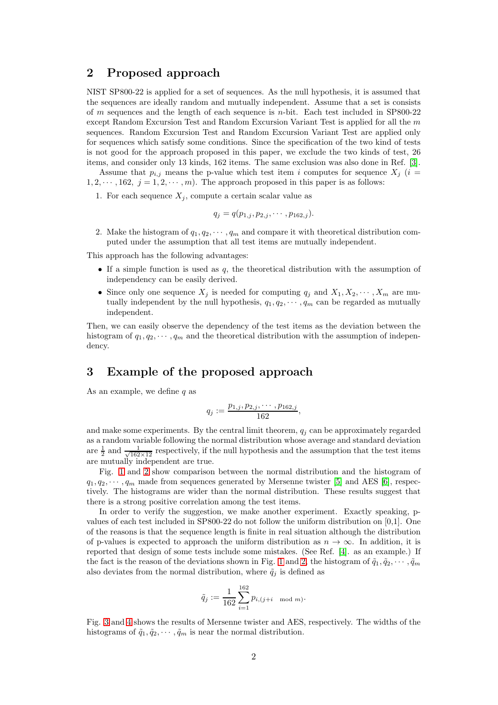## 2 Proposed approach

NIST SP800-22 is applied for a set of sequences. As the null hypothesis, it is assumed that the sequences are ideally random and mutually independent. Assume that a set is consists of m sequences and the length of each sequence is n-bit. Each test included in SP800-22 except Random Excursion Test and Random Excursion Variant Test is applied for all the m sequences. Random Excursion Test and Random Excursion Variant Test are applied only for sequences which satisfy some conditions. Since the specification of the two kind of tests is not good for the approach proposed in this paper, we exclude the two kinds of test, 26 items, and consider only 13 kinds, 162 items. The same exclusion was also done in Ref. [\[3\]](#page-5-2).

Assume that  $p_{i,j}$  means the p-value which test item i computes for sequence  $X_j$  (i =  $1, 2, \dots, 162, j = 1, 2, \dots, m$ . The approach proposed in this paper is as follows:

1. For each sequence  $X_i$ , compute a certain scalar value as

$$
q_j = q(p_{1,j}, p_{2,j}, \cdots, p_{162,j}).
$$

2. Make the histogram of  $q_1, q_2, \dots, q_m$  and compare it with theoretical distribution computed under the assumption that all test items are mutually independent.

This approach has the following advantages:

- If a simple function is used as  $q$ , the theoretical distribution with the assumption of independency can be easily derived.
- Since only one sequence  $X_i$  is needed for computing  $q_i$  and  $X_1, X_2, \cdots, X_m$  are mutually independent by the null hypothesis,  $q_1, q_2, \dots, q_m$  can be regarded as mutually independent.

Then, we can easily observe the dependency of the test items as the deviation between the histogram of  $q_1, q_2, \dots, q_m$  and the theoretical distribution with the assumption of independency.

# 3 Example of the proposed approach

As an example, we define  $q$  as

$$
q_j := \frac{p_{1,j}, p_{2,j}, \cdots, p_{162,j}}{162},
$$

and make some experiments. By the central limit theorem,  $q_i$  can be approximately regarded as a random variable following the normal distribution whose average and standard deviation are  $\frac{1}{2}$  and  $\frac{1}{\sqrt{162 \times 12}}$  respectively, if the null hypothesis and the assumption that the test items are mutually independent are true.

Fig. [1](#page-2-0) and [2](#page-3-0) show comparison between the normal distribution and the histogram of  $q_1, q_2, \dots, q_m$  made from sequences generated by Mersenne twister [\[5\]](#page-6-0) and AES [\[6\]](#page-6-1), respectively. The histograms are wider than the normal distribution. These results suggest that there is a strong positive correlation among the test items.

In order to verify the suggestion, we make another experiment. Exactly speaking, pvalues of each test included in SP800-22 do not follow the uniform distribution on [0,1]. One of the reasons is that the sequence length is finite in real situation although the distribution of p-values is expected to approach the uniform distribution as  $n \to \infty$ . In addition, it is reported that design of some tests include some mistakes. (See Ref. [\[4\]](#page-6-2). as an example.) If the fact is the reason of the deviations shown in Fig. [1](#page-2-0) and [2,](#page-3-0) the histogram of  $\tilde{q}_1, \tilde{q}_2, \cdots, \tilde{q}_m$ also deviates from the normal distribution, where  $\tilde{q}_i$  is defined as

$$
\tilde{q}_j := \frac{1}{162} \sum_{i=1}^{162} p_{i,(j+i \mod m)}.
$$

Fig. [3](#page-3-1) and [4](#page-4-0) shows the results of Mersenne twister and AES, respectively. The widths of the histograms of  $\tilde{q}_1, \tilde{q}_2, \cdots, \tilde{q}_m$  is near the normal distribution.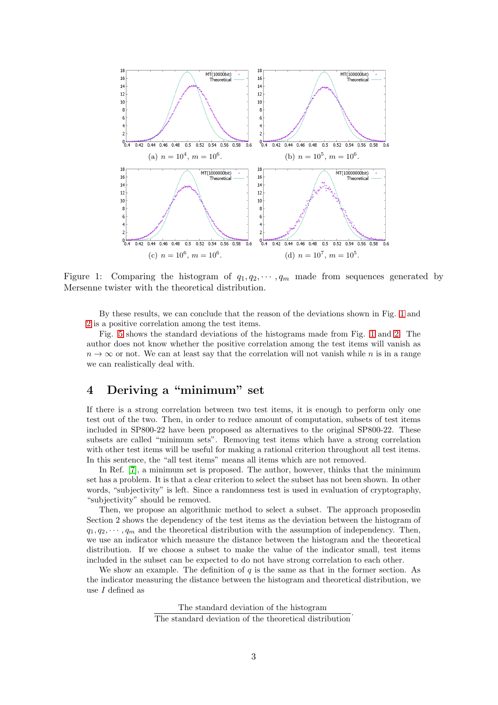

Figure 1: Comparing the histogram of  $q_1, q_2, \dots, q_m$  made from sequences generated by Mersenne twister with the theoretical distribution.

<span id="page-2-0"></span>By these results, we can conclude that the reason of the deviations shown in Fig. [1](#page-2-0) and [2](#page-3-0) is a positive correlation among the test items.

Fig. [5](#page-4-1) shows the standard deviations of the histograms made from Fig. [1](#page-2-0) and [2.](#page-3-0) The author does not know whether the positive correlation among the test items will vanish as  $n \to \infty$  or not. We can at least say that the correlation will not vanish while n is in a range we can realistically deal with.

# 4 Deriving a "minimum" set

If there is a strong correlation between two test items, it is enough to perform only one test out of the two. Then, in order to reduce amount of computation, subsets of test items included in SP800-22 have been proposed as alternatives to the original SP800-22. These subsets are called "minimum sets". Removing test items which have a strong correlation with other test items will be useful for making a rational criterion throughout all test items. In this sentence, the "all test items" means all items which are not removed.

In Ref. [\[7\]](#page-6-3), a minimum set is proposed. The author, however, thinks that the minimum set has a problem. It is that a clear criterion to select the subset has not been shown. In other words, "subjectivity" is left. Since a randomness test is used in evaluation of cryptography, "subjectivity" should be removed.

Then, we propose an algorithmic method to select a subset. The approach proposedin Section 2 shows the dependency of the test items as the deviation between the histogram of  $q_1, q_2, \dots, q_m$  and the theoretical distribution with the assumption of independency. Then, we use an indicator which measure the distance between the histogram and the theoretical distribution. If we choose a subset to make the value of the indicator small, test items included in the subset can be expected to do not have strong correlation to each other.

We show an example. The definition of  $q$  is the same as that in the former section. As the indicator measuring the distance between the histogram and theoretical distribution, we use I defined as

> The standard deviation of the histogram The standard deviation of the theoretical distribution.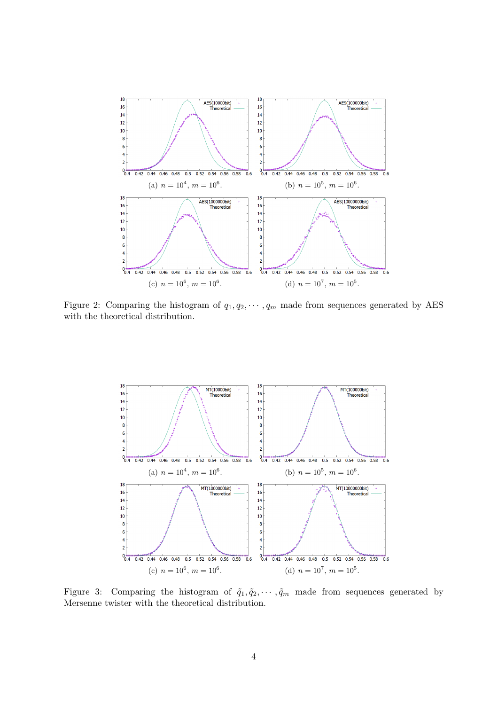

<span id="page-3-0"></span>Figure 2: Comparing the histogram of  $q_1, q_2, \dots, q_m$  made from sequences generated by AES with the theoretical distribution.



<span id="page-3-1"></span>Figure 3: Comparing the histogram of  $\tilde{q}_1, \tilde{q}_2, \cdots, \tilde{q}_m$  made from sequences generated by Mersenne twister with the theoretical distribution.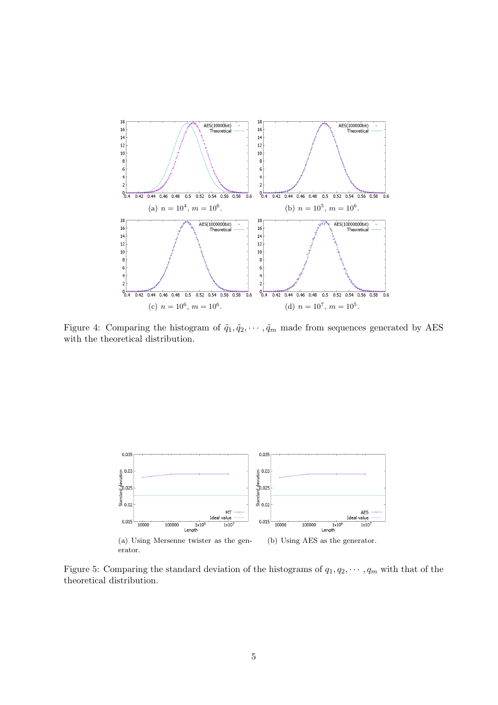

<span id="page-4-0"></span>Figure 4: Comparing the histogram of  $\tilde{q}_1, \tilde{q}_2, \cdots, \tilde{q}_m$  made from sequences generated by AES with the theoretical distribution.



<span id="page-4-1"></span>Figure 5: Comparing the standard deviation of the histograms of  $q_1, q_2, \dots, q_m$  with that of the theoretical distribution.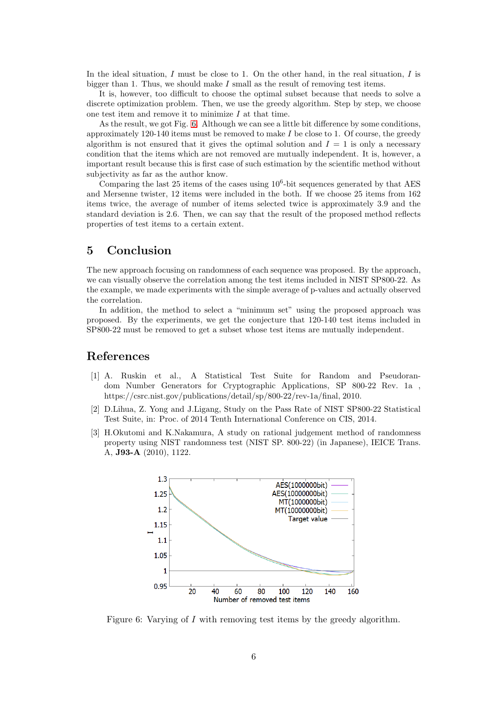In the ideal situation,  $I$  must be close to 1. On the other hand, in the real situation,  $I$  is bigger than 1. Thus, we should make I small as the result of removing test items.

It is, however, too difficult to choose the optimal subset because that needs to solve a discrete optimization problem. Then, we use the greedy algorithm. Step by step, we choose one test item and remove it to minimize  $I$  at that time.

As the result, we got Fig. [6.](#page-5-3) Although we can see a little bit difference by some conditions, approximately 120-140 items must be removed to make  $I$  be close to 1. Of course, the greedy algorithm is not ensured that it gives the optimal solution and  $I = 1$  is only a necessary condition that the items which are not removed are mutually independent. It is, however, a important result because this is first case of such estimation by the scientific method without subjectivity as far as the author know.

Comparing the last 25 items of the cases using  $10^6$ -bit sequences generated by that AES and Mersenne twister, 12 items were included in the both. If we choose 25 items from 162 items twice, the average of number of items selected twice is approximately 3.9 and the standard deviation is 2.6. Then, we can say that the result of the proposed method reflects properties of test items to a certain extent.

## 5 Conclusion

The new approach focusing on randomness of each sequence was proposed. By the approach, we can visually observe the correlation among the test items included in NIST SP800-22. As the example, we made experiments with the simple average of p-values and actually observed the correlation.

In addition, the method to select a "minimum set" using the proposed approach was proposed. By the experiments, we get the conjecture that 120-140 test items included in SP800-22 must be removed to get a subset whose test items are mutually independent.

## <span id="page-5-0"></span>References

- [1] A. Ruskin et al., A Statistical Test Suite for Random and Pseudorandom Number Generators for Cryptographic Applications, SP 800-22 Rev. 1a , https://csrc.nist.gov/publications/detail/sp/800-22/rev-1a/final, 2010.
- <span id="page-5-1"></span>[2] D.Lihua, Z. Yong and J.Ligang, Study on the Pass Rate of NIST SP800-22 Statistical Test Suite, in: Proc. of 2014 Tenth International Conference on CIS, 2014.
- <span id="page-5-2"></span>[3] H.Okutomi and K.Nakamura, A study on rational judgement method of randomness property using NIST randomness test (NIST SP. 800-22) (in Japanese), IEICE Trans. A, J93-A (2010), 1122.



<span id="page-5-3"></span>Figure 6: Varying of I with removing test items by the greedy algorithm.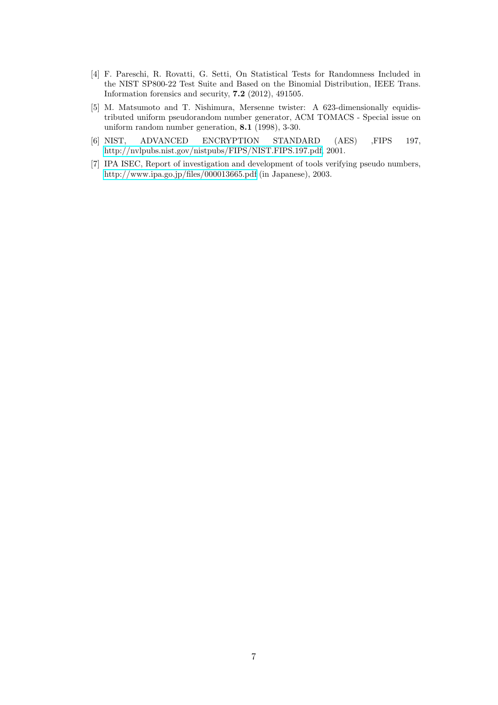- <span id="page-6-2"></span>[4] F. Pareschi, R. Rovatti, G. Setti, On Statistical Tests for Randomness Included in the NIST SP800-22 Test Suite and Based on the Binomial Distribution, IEEE Trans. Information forensics and security, 7.2 (2012), 491505.
- <span id="page-6-0"></span>[5] M. Matsumoto and T. Nishimura, Mersenne twister: A 623-dimensionally equidistributed uniform pseudorandom number generator, ACM TOMACS - Special issue on uniform random number generation, 8.1 (1998), 3-30.
- <span id="page-6-1"></span>[6] NIST, ADVANCED ENCRYPTION STANDARD (AES) ,FIPS 197, [http://nvlpubs.nist.gov/nistpubs/FIPS/NIST.FIPS.197.pdf,](http://nvlpubs.nist.gov/nistpubs/FIPS/NIST.FIPS.197.pdf) 2001.
- <span id="page-6-3"></span>[7] IPA ISEC, Report of investigation and development of tools verifying pseudo numbers, <http://www.ipa.go.jp/files/000013665.pdf> (in Japanese), 2003.